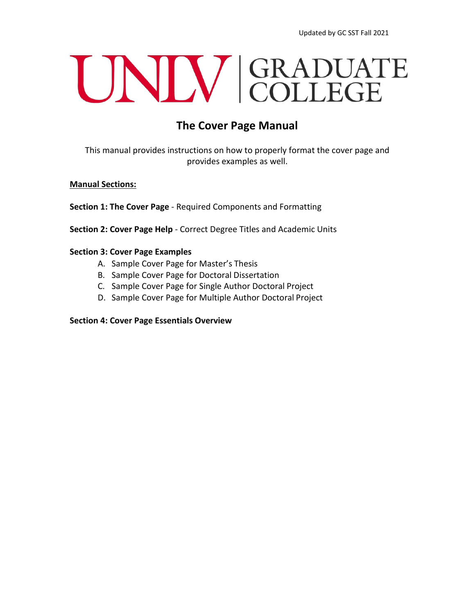# UNIV GRADUATE

## **The Cover Page Manual**

This manual provides instructions on how to properly format the cover page and provides examples as well.

## **Manual Sections:**

**Section 1: The Cover Page** - Required Components and Formatting

**Section 2: Cover Page Help** - Correct Degree Titles and Academic Units

## **Section 3: Cover Page Examples**

- A. Sample Cover Page for Master's Thesis
- B. Sample Cover Page for Doctoral Dissertation
- C. Sample Cover Page for Single Author Doctoral Project
- D. Sample Cover Page for Multiple Author Doctoral Project

## **Section 4: Cover Page Essentials Overview**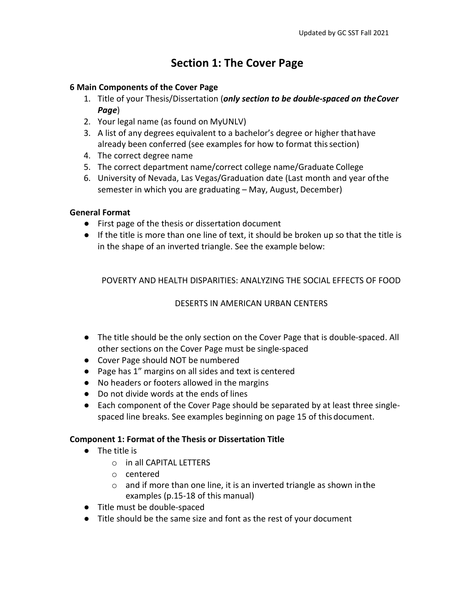## **Section 1: The Cover Page**

## **6 Main Components of the Cover Page**

- 1. Title of your Thesis/Dissertation (*only section to be double-spaced on theCover Page*)
- 2. Your legal name (as found on MyUNLV)
- 3. A list of any degrees equivalent to a bachelor's degree or higher thathave already been conferred (see examples for how to format this section)
- 4. The correct degree name
- 5. The correct department name/correct college name/Graduate College
- 6. University of Nevada, Las Vegas/Graduation date (Last month and year ofthe semester in which you are graduating – May, August, December)

## **General Format**

- First page of the thesis or dissertation document
- If the title is more than one line of text, it should be broken up so that the title is in the shape of an inverted triangle. See the example below:

POVERTY AND HEALTH DISPARITIES: ANALYZING THE SOCIAL EFFECTS OF FOOD

## DESERTS IN AMERICAN URBAN CENTERS

- The title should be the only section on the Cover Page that is double-spaced. All other sections on the Cover Page must be single-spaced
- Cover Page should NOT be numbered
- Page has 1" margins on all sides and text is centered
- No headers or footers allowed in the margins
- Do not divide words at the ends of lines
- Each component of the Cover Page should be separated by at least three singlespaced line breaks. See examples beginning on page 15 of thisdocument.

## **Component 1: Format of the Thesis or Dissertation Title**

- The title is
	- o in all CAPITAL LETTERS
	- o centered
	- $\circ$  and if more than one line, it is an inverted triangle as shown in the examples (p.15-18 of this manual)
- Title must be double-spaced
- Title should be the same size and font as the rest of your document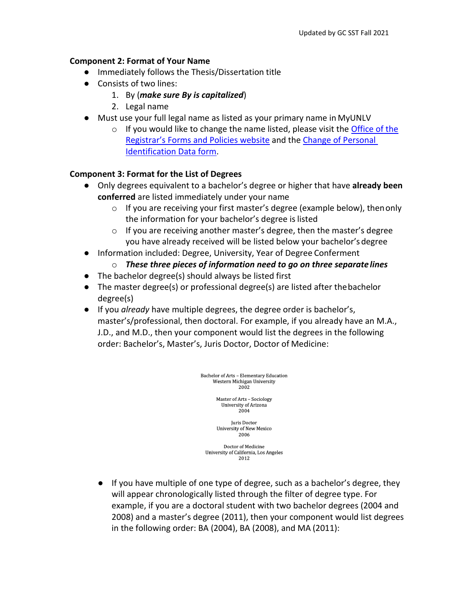## **Component 2: Format of Your Name**

- Immediately follows the Thesis/Dissertation title
- Consists of two lines:
	- 1. By (*make sure By is capitalized*)
	- 2. Legal name
- Must use your full legal name as listed as your primary name in MyUNLV
	- $\circ$  If you would like to change the name listed, please visit the [Office of the](https://www.unlv.edu/registrar/forms#N) [Registrar's Forms and Policies website](https://www.unlv.edu/registrar/forms#N) and the [Change of Personal](https://nshe.nevada.edu/wp-content/uploads/Academic-Affairs/Request-to-Change-Personal-Identification-Data_Rev_8-8-17.pdf) [Identification Data](https://nshe.nevada.edu/wp-content/uploads/Academic-Affairs/Request-to-Change-Personal-Identification-Data_Rev_8-8-17.pdf) form.

## **Component 3: Format for the List of Degrees**

- Only degrees equivalent to a bachelor's degree or higher that have **already been conferred** are listed immediately under your name
	- $\circ$  If you are receiving your first master's degree (example below), then only the information for your bachelor's degree islisted
	- o If you are receiving another master's degree, then the master's degree you have already received will be listed below your bachelor'sdegree
- Information included: Degree, University, Year of Degree Conferment
	- o *These three pieces of information need to go on three separate lines*
- The bachelor degree(s) should always be listed first
- The master degree(s) or professional degree(s) are listed after thebachelor degree(s)
- If you *already* have multiple degrees, the degree order is bachelor's, master's/professional, then doctoral. For example, if you already have an M.A., J.D., and M.D., then your component would list the degrees in the following order: Bachelor's, Master's, Juris Doctor, Doctor of Medicine:

Bachelor of Arts - Elementary Education Western Michigan University 2002

> Master of Arts - Sociology University of Arizona 2004

Juris Doctor **University of New Mexico** 2006

Doctor of Medicine University of California, Los Angeles 2012

● If you have multiple of one type of degree, such as a bachelor's degree, they will appear chronologically listed through the filter of degree type. For example, if you are a doctoral student with two bachelor degrees (2004 and 2008) and a master's degree (2011), then your component would list degrees in the following order: BA (2004), BA (2008), and MA (2011):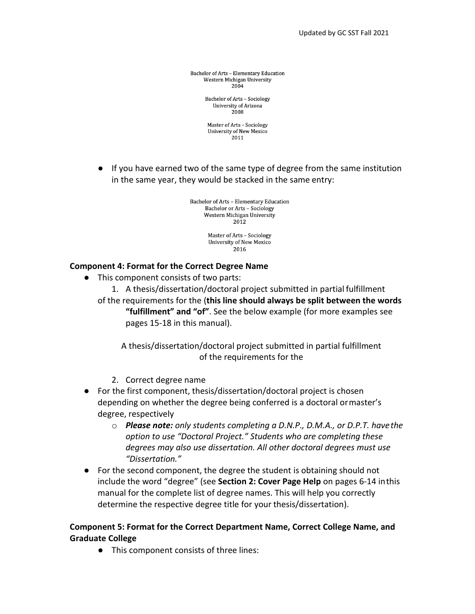Bachelor of Arts - Elementary Education Western Michigan University 2004

> **Bachelor of Arts - Sociology** University of Arizona 2008

Master of Arts - Sociology **University of New Mexico** 2011

● If you have earned two of the same type of degree from the same institution in the same year, they would be stacked in the same entry:

> Bachelor of Arts - Elementary Education Bachelor or Arts - Sociology Western Michigan University  $2012$

> > Master of Arts - Sociology University of New Mexico 2016

## **Component 4: Format for the Correct Degree Name**

● This component consists of two parts:

1. A thesis/dissertation/doctoral project submitted in partial fulfillment of the requirements for the (**this line should always be split between the words "fulfillment" and "of"**. See the below example (for more examples see pages 15-18 in this manual).

A thesis/dissertation/doctoral project submitted in partial fulfillment of the requirements for the

- 2. Correct degree name
- For the first component, thesis/dissertation/doctoral project is chosen depending on whether the degree being conferred is a doctoral ormaster's degree, respectively
	- o *Please note: only students completing a D.N.P., D.M.A., or D.P.T. havethe option to use "Doctoral Project." Students who are completing these degrees may also use dissertation. All other doctoral degrees must use "Dissertation."*
- For the second component, the degree the student is obtaining should not include the word "degree" (see **Section 2: Cover Page Help** on pages 6-14 inthis manual for the complete list of degree names. This will help you correctly determine the respective degree title for your thesis/dissertation).

## **Component 5: Format for the Correct Department Name, Correct College Name, and Graduate College**

● This component consists of three lines: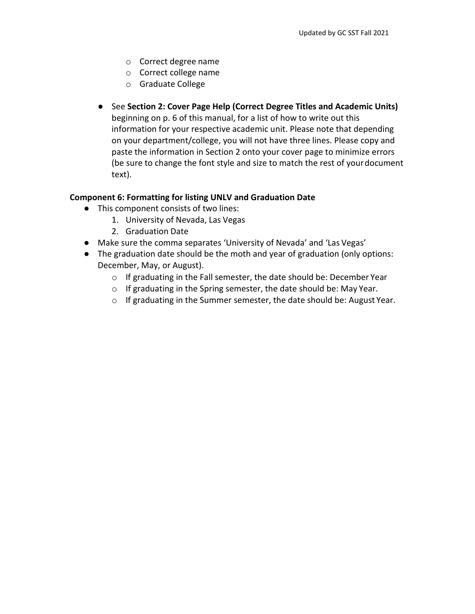- o Correct degree name
- o Correct college name
- o Graduate College
- See **Section 2: Cover Page Help (Correct Degree Titles and Academic Units)**  beginning on p. 6 of this manual, for a list of how to write out this information for your respective academic unit. Please note that depending on your department/college, you will not have three lines. Please copy and paste the information in Section 2 onto your cover page to minimize errors (be sure to change the font style and size to match the rest of yourdocument text).

## **Component 6: Formatting for listing UNLV and Graduation Date**

- This component consists of two lines:
	- 1. University of Nevada, Las Vegas
	- 2. Graduation Date
- Make sure the comma separates 'University of Nevada' and 'Las Vegas'
- The graduation date should be the moth and year of graduation (only options: December, May, or August).
	- o If graduating in the Fall semester, the date should be: December Year
	- o If graduating in the Spring semester, the date should be: May Year.
	- o If graduating in the Summer semester, the date should be: August Year.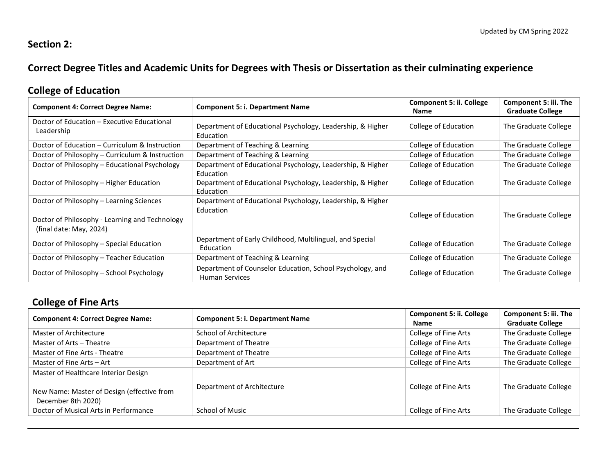## **Section 2:**

## **Correct Degree Titles and Academic Units for Degrees with Thesis or Dissertation as their culminating experience**

## **College of Education**

| <b>Component 4: Correct Degree Name:</b>                                                                              | <b>Component 5: i. Department Name</b>                                             | <b>Component 5: ii. College</b><br>Name | Component 5: iii. The<br><b>Graduate College</b> |
|-----------------------------------------------------------------------------------------------------------------------|------------------------------------------------------------------------------------|-----------------------------------------|--------------------------------------------------|
| Doctor of Education – Executive Educational<br>Leadership                                                             | Department of Educational Psychology, Leadership, & Higher<br>Education            | College of Education                    | The Graduate College                             |
| Doctor of Education – Curriculum & Instruction                                                                        | Department of Teaching & Learning                                                  | College of Education                    | The Graduate College                             |
| Doctor of Philosophy – Curriculum & Instruction                                                                       | Department of Teaching & Learning                                                  | College of Education                    | The Graduate College                             |
| Doctor of Philosophy – Educational Psychology                                                                         | Department of Educational Psychology, Leadership, & Higher<br>Education            | College of Education                    | The Graduate College                             |
| Doctor of Philosophy - Higher Education                                                                               | Department of Educational Psychology, Leadership, & Higher<br>Education            | College of Education                    | The Graduate College                             |
| Doctor of Philosophy – Learning Sciences<br>Doctor of Philosophy - Learning and Technology<br>(final date: May, 2024) | Department of Educational Psychology, Leadership, & Higher<br>Education            | College of Education                    | The Graduate College                             |
| Doctor of Philosophy – Special Education                                                                              | Department of Early Childhood, Multilingual, and Special<br>Education              | College of Education                    | The Graduate College                             |
| Doctor of Philosophy – Teacher Education                                                                              | Department of Teaching & Learning                                                  | College of Education                    | The Graduate College                             |
| Doctor of Philosophy – School Psychology                                                                              | Department of Counselor Education, School Psychology, and<br><b>Human Services</b> | College of Education                    | The Graduate College                             |

# **College of Fine Arts**

| <b>Component 4: Correct Degree Name:</b>                                                                 | <b>Component 5: i. Department Name</b> | <b>Component 5: ii. College</b><br><b>Name</b> | <b>Component 5: iii. The</b><br><b>Graduate College</b> |
|----------------------------------------------------------------------------------------------------------|----------------------------------------|------------------------------------------------|---------------------------------------------------------|
| Master of Architecture                                                                                   | School of Architecture                 | College of Fine Arts                           | The Graduate College                                    |
| Master of Arts - Theatre                                                                                 | Department of Theatre                  | College of Fine Arts                           | The Graduate College                                    |
| Master of Fine Arts - Theatre                                                                            | Department of Theatre                  | College of Fine Arts                           | The Graduate College                                    |
| Master of Fine Arts - Art                                                                                | Department of Art                      | College of Fine Arts                           | The Graduate College                                    |
| Master of Healthcare Interior Design<br>New Name: Master of Design (effective from<br>December 8th 2020) | Department of Architecture             | College of Fine Arts                           | The Graduate College                                    |
| Doctor of Musical Arts in Performance                                                                    | School of Music                        | College of Fine Arts                           | The Graduate College                                    |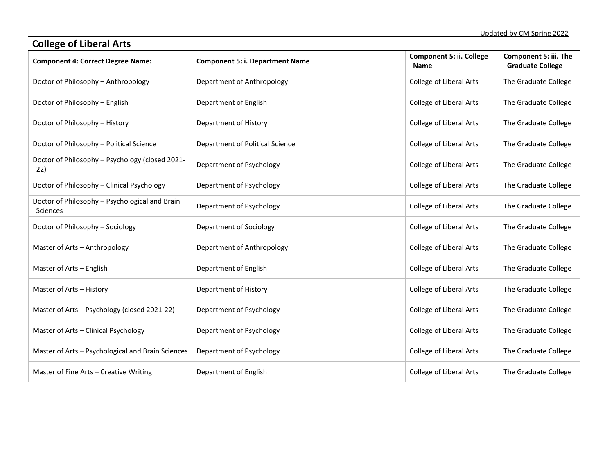| <b>College of Liberal Arts</b>                                    |                                        |                                         |                                                  |  |
|-------------------------------------------------------------------|----------------------------------------|-----------------------------------------|--------------------------------------------------|--|
| <b>Component 4: Correct Degree Name:</b>                          | <b>Component 5: i. Department Name</b> | <b>Component 5: ii. College</b><br>Name | Component 5: iii. The<br><b>Graduate College</b> |  |
| Doctor of Philosophy - Anthropology                               | Department of Anthropology             | <b>College of Liberal Arts</b>          | The Graduate College                             |  |
| Doctor of Philosophy - English                                    | Department of English                  | <b>College of Liberal Arts</b>          | The Graduate College                             |  |
| Doctor of Philosophy - History                                    | Department of History                  | <b>College of Liberal Arts</b>          | The Graduate College                             |  |
| Doctor of Philosophy - Political Science                          | Department of Political Science        | <b>College of Liberal Arts</b>          | The Graduate College                             |  |
| Doctor of Philosophy - Psychology (closed 2021-<br>22)            | Department of Psychology               | <b>College of Liberal Arts</b>          | The Graduate College                             |  |
| Doctor of Philosophy - Clinical Psychology                        | Department of Psychology               | <b>College of Liberal Arts</b>          | The Graduate College                             |  |
| Doctor of Philosophy - Psychological and Brain<br><b>Sciences</b> | Department of Psychology               | <b>College of Liberal Arts</b>          | The Graduate College                             |  |
| Doctor of Philosophy - Sociology                                  | Department of Sociology                | <b>College of Liberal Arts</b>          | The Graduate College                             |  |
| Master of Arts - Anthropology                                     | Department of Anthropology             | <b>College of Liberal Arts</b>          | The Graduate College                             |  |
| Master of Arts - English                                          | Department of English                  | <b>College of Liberal Arts</b>          | The Graduate College                             |  |
| Master of Arts - History                                          | Department of History                  | <b>College of Liberal Arts</b>          | The Graduate College                             |  |
| Master of Arts - Psychology (closed 2021-22)                      | Department of Psychology               | <b>College of Liberal Arts</b>          | The Graduate College                             |  |
| Master of Arts - Clinical Psychology                              | Department of Psychology               | <b>College of Liberal Arts</b>          | The Graduate College                             |  |
| Master of Arts - Psychological and Brain Sciences                 | Department of Psychology               | <b>College of Liberal Arts</b>          | The Graduate College                             |  |
| Master of Fine Arts - Creative Writing                            | Department of English                  | <b>College of Liberal Arts</b>          | The Graduate College                             |  |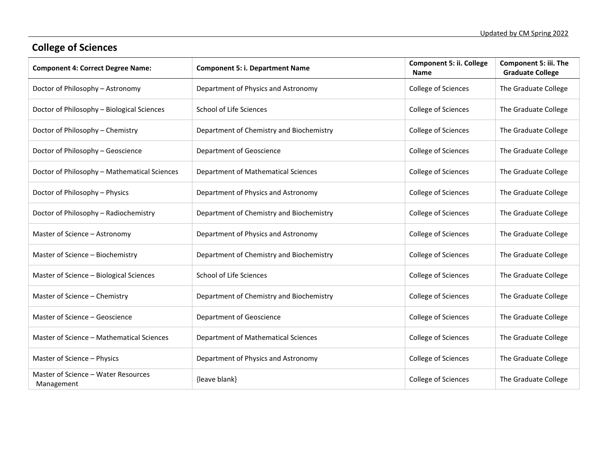# **College of Sciences**

| <b>Component 4: Correct Degree Name:</b>          | <b>Component 5: i. Department Name</b>     | <b>Component 5: ii. College</b><br><b>Name</b> | <b>Component 5: iii. The</b><br><b>Graduate College</b> |
|---------------------------------------------------|--------------------------------------------|------------------------------------------------|---------------------------------------------------------|
| Doctor of Philosophy - Astronomy                  | Department of Physics and Astronomy        | College of Sciences                            | The Graduate College                                    |
| Doctor of Philosophy - Biological Sciences        | School of Life Sciences                    | College of Sciences                            | The Graduate College                                    |
| Doctor of Philosophy - Chemistry                  | Department of Chemistry and Biochemistry   | College of Sciences                            | The Graduate College                                    |
| Doctor of Philosophy - Geoscience                 | Department of Geoscience                   | College of Sciences                            | The Graduate College                                    |
| Doctor of Philosophy - Mathematical Sciences      | <b>Department of Mathematical Sciences</b> | College of Sciences                            | The Graduate College                                    |
| Doctor of Philosophy - Physics                    | Department of Physics and Astronomy        | College of Sciences                            | The Graduate College                                    |
| Doctor of Philosophy - Radiochemistry             | Department of Chemistry and Biochemistry   | College of Sciences                            | The Graduate College                                    |
| Master of Science - Astronomy                     | Department of Physics and Astronomy        | College of Sciences                            | The Graduate College                                    |
| Master of Science - Biochemistry                  | Department of Chemistry and Biochemistry   | College of Sciences                            | The Graduate College                                    |
| Master of Science - Biological Sciences           | School of Life Sciences                    | College of Sciences                            | The Graduate College                                    |
| Master of Science - Chemistry                     | Department of Chemistry and Biochemistry   | College of Sciences                            | The Graduate College                                    |
| Master of Science - Geoscience                    | Department of Geoscience                   | College of Sciences                            | The Graduate College                                    |
| Master of Science - Mathematical Sciences         | Department of Mathematical Sciences        | College of Sciences                            | The Graduate College                                    |
| Master of Science - Physics                       | Department of Physics and Astronomy        | College of Sciences                            | The Graduate College                                    |
| Master of Science - Water Resources<br>Management | {leave blank}                              | College of Sciences                            | The Graduate College                                    |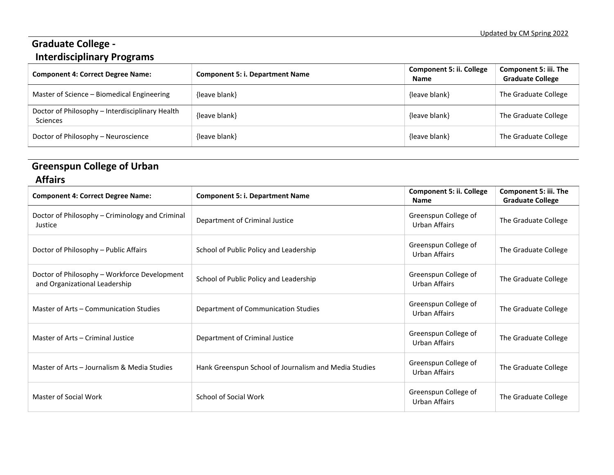## **Graduate College - Interdisciplinary Programs**

| <b>Component 4: Correct Degree Name:</b>                    | <b>Component 5: i. Department Name</b> | <b>Component 5: ii. College</b><br><b>Name</b> | <b>Component 5: iii. The</b><br><b>Graduate College</b> |
|-------------------------------------------------------------|----------------------------------------|------------------------------------------------|---------------------------------------------------------|
| Master of Science - Biomedical Engineering                  | {leave blank}                          | {leave blank}                                  | The Graduate College                                    |
| Doctor of Philosophy - Interdisciplinary Health<br>Sciences | {leave blank}                          | {leave blank}                                  | The Graduate College                                    |
| Doctor of Philosophy - Neuroscience                         | {leave blank}                          | {leave blank}                                  | The Graduate College                                    |

# **Greenspun College of Urban**

## **Affairs**

| <b>Component 4: Correct Degree Name:</b>                                      | <b>Component 5: i. Department Name</b>                | <b>Component 5: ii. College</b><br><b>Name</b> | Component 5: iii. The<br><b>Graduate College</b> |
|-------------------------------------------------------------------------------|-------------------------------------------------------|------------------------------------------------|--------------------------------------------------|
| Doctor of Philosophy – Criminology and Criminal<br>Justice                    | Department of Criminal Justice                        | Greenspun College of<br>Urban Affairs          | The Graduate College                             |
| Doctor of Philosophy – Public Affairs                                         | School of Public Policy and Leadership                | Greenspun College of<br>Urban Affairs          | The Graduate College                             |
| Doctor of Philosophy - Workforce Development<br>and Organizational Leadership | School of Public Policy and Leadership                | Greenspun College of<br>Urban Affairs          | The Graduate College                             |
| Master of Arts - Communication Studies                                        | Department of Communication Studies                   | Greenspun College of<br>Urban Affairs          | The Graduate College                             |
| Master of Arts - Criminal Justice                                             | Department of Criminal Justice                        | Greenspun College of<br>Urban Affairs          | The Graduate College                             |
| Master of Arts - Journalism & Media Studies                                   | Hank Greenspun School of Journalism and Media Studies | Greenspun College of<br>Urban Affairs          | The Graduate College                             |
| Master of Social Work                                                         | <b>School of Social Work</b>                          | Greenspun College of<br>Urban Affairs          | The Graduate College                             |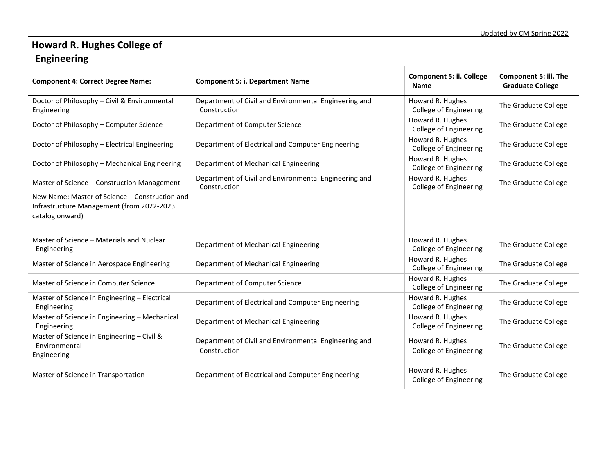# **Howard R. Hughes College of**

## **Engineering**

| <b>Component 4: Correct Degree Name:</b>                                                                       | <b>Component 5: i. Department Name</b>                                | <b>Component 5: ii. College</b><br><b>Name</b>    | Component 5: iii. The<br><b>Graduate College</b> |
|----------------------------------------------------------------------------------------------------------------|-----------------------------------------------------------------------|---------------------------------------------------|--------------------------------------------------|
| Doctor of Philosophy - Civil & Environmental<br>Engineering                                                    | Department of Civil and Environmental Engineering and<br>Construction | Howard R. Hughes<br>College of Engineering        | The Graduate College                             |
| Doctor of Philosophy - Computer Science                                                                        | Department of Computer Science                                        | Howard R. Hughes<br>College of Engineering        | The Graduate College                             |
| Doctor of Philosophy - Electrical Engineering                                                                  | Department of Electrical and Computer Engineering                     | Howard R. Hughes<br>College of Engineering        | The Graduate College                             |
| Doctor of Philosophy - Mechanical Engineering                                                                  | Department of Mechanical Engineering                                  | Howard R. Hughes<br>College of Engineering        | The Graduate College                             |
| Master of Science - Construction Management                                                                    | Department of Civil and Environmental Engineering and<br>Construction | Howard R. Hughes<br><b>College of Engineering</b> | The Graduate College                             |
| New Name: Master of Science – Construction and<br>Infrastructure Management (from 2022-2023<br>catalog onward) |                                                                       |                                                   |                                                  |
| Master of Science – Materials and Nuclear<br>Engineering                                                       | Department of Mechanical Engineering                                  | Howard R. Hughes<br><b>College of Engineering</b> | The Graduate College                             |
| Master of Science in Aerospace Engineering                                                                     | Department of Mechanical Engineering                                  | Howard R. Hughes<br>College of Engineering        | The Graduate College                             |
| Master of Science in Computer Science                                                                          | Department of Computer Science                                        | Howard R. Hughes<br><b>College of Engineering</b> | The Graduate College                             |
| Master of Science in Engineering - Electrical<br>Engineering                                                   | Department of Electrical and Computer Engineering                     | Howard R. Hughes<br>College of Engineering        | The Graduate College                             |
| Master of Science in Engineering - Mechanical<br>Engineering                                                   | Department of Mechanical Engineering                                  | Howard R. Hughes<br><b>College of Engineering</b> | The Graduate College                             |
| Master of Science in Engineering - Civil &<br>Environmental<br>Engineering                                     | Department of Civil and Environmental Engineering and<br>Construction | Howard R. Hughes<br>College of Engineering        | The Graduate College                             |
| Master of Science in Transportation                                                                            | Department of Electrical and Computer Engineering                     | Howard R. Hughes<br>College of Engineering        | The Graduate College                             |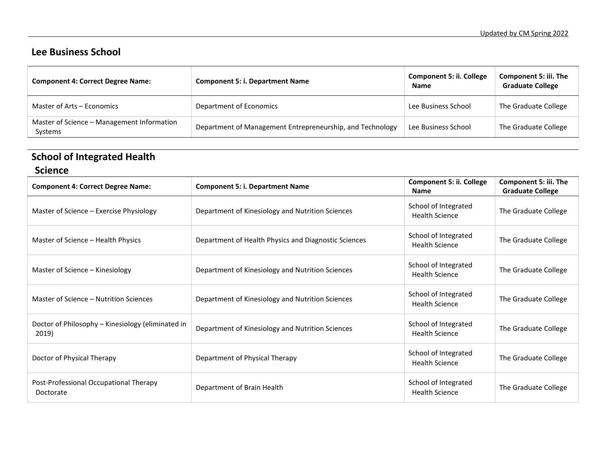## **Lee Business School**

| <b>Component 4: Correct Degree Name:</b>              | <b>Component 5: i. Department Name</b>                    | <b>Component 5: ii. College</b><br><b>Name</b> | <b>Component 5: iii. The</b><br><b>Graduate College</b> |
|-------------------------------------------------------|-----------------------------------------------------------|------------------------------------------------|---------------------------------------------------------|
| Master of Arts – Economics                            | Department of Economics                                   | Lee Business School                            | The Graduate College                                    |
| Master of Science - Management Information<br>Systems | Department of Management Entrepreneurship, and Technology | Lee Business School                            | The Graduate College                                    |

# **School of Integrated Health**

| <b>Component 4: Correct Degree Name:</b>                   | <b>Component 5: i. Department Name</b>               | <b>Component 5: ii. College</b><br><b>Name</b> | Component 5: iii. The<br><b>Graduate College</b> |
|------------------------------------------------------------|------------------------------------------------------|------------------------------------------------|--------------------------------------------------|
| Master of Science – Exercise Physiology                    | Department of Kinesiology and Nutrition Sciences     | School of Integrated<br><b>Health Science</b>  | The Graduate College                             |
| Master of Science - Health Physics                         | Department of Health Physics and Diagnostic Sciences | School of Integrated<br><b>Health Science</b>  | The Graduate College                             |
| Master of Science - Kinesiology                            | Department of Kinesiology and Nutrition Sciences     | School of Integrated<br><b>Health Science</b>  | The Graduate College                             |
| Master of Science – Nutrition Sciences                     | Department of Kinesiology and Nutrition Sciences     | School of Integrated<br><b>Health Science</b>  | The Graduate College                             |
| Doctor of Philosophy - Kinesiology (eliminated in<br>2019) | Department of Kinesiology and Nutrition Sciences     | School of Integrated<br><b>Health Science</b>  | The Graduate College                             |
| Doctor of Physical Therapy                                 | Department of Physical Therapy                       | School of Integrated<br><b>Health Science</b>  | The Graduate College                             |
| Post-Professional Occupational Therapy<br>Doctorate        | Department of Brain Health                           | School of Integrated<br><b>Health Science</b>  | The Graduate College                             |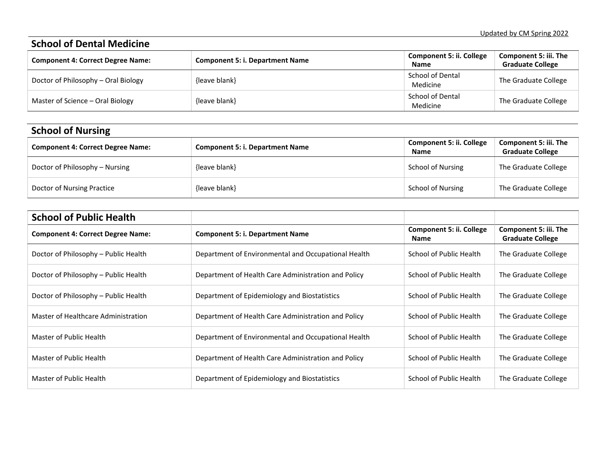#### **School of Dental Medicine Component 4: Correct Degree Name: Component 5: i. Department Name Component 5: ii. College Name Component 5: iii. The Graduate College** Doctor of Philosophy – Oral Biology (leave blank) and the state of Philosophy – Oral Biology (leave blank) school of Dental The Graduate College Master of Science – Oral Biology (leave blank) { (leave blank} School of Dental The Graduate College

| <b>School of Nursing</b>                 |                                        |                                                |                                                         |
|------------------------------------------|----------------------------------------|------------------------------------------------|---------------------------------------------------------|
| <b>Component 4: Correct Degree Name:</b> | <b>Component 5: i. Department Name</b> | <b>Component 5: ii. College</b><br><b>Name</b> | <b>Component 5: iii. The</b><br><b>Graduate College</b> |
| Doctor of Philosophy – Nursing           | {leave blank}                          | School of Nursing                              | The Graduate College                                    |
| Doctor of Nursing Practice               | {leave blank}                          | School of Nursing                              | The Graduate College                                    |

| <b>School of Public Health</b>           |                                                     |                                  |                                                  |
|------------------------------------------|-----------------------------------------------------|----------------------------------|--------------------------------------------------|
| <b>Component 4: Correct Degree Name:</b> | <b>Component 5: i. Department Name</b>              | Component 5: ii. College<br>Name | Component 5: iii. The<br><b>Graduate College</b> |
| Doctor of Philosophy – Public Health     | Department of Environmental and Occupational Health | School of Public Health          | The Graduate College                             |
| Doctor of Philosophy – Public Health     | Department of Health Care Administration and Policy | School of Public Health          | The Graduate College                             |
| Doctor of Philosophy - Public Health     | Department of Epidemiology and Biostatistics        | School of Public Health          | The Graduate College                             |
| Master of Healthcare Administration      | Department of Health Care Administration and Policy | School of Public Health          | The Graduate College                             |
| Master of Public Health                  | Department of Environmental and Occupational Health | School of Public Health          | The Graduate College                             |
| Master of Public Health                  | Department of Health Care Administration and Policy | School of Public Health          | The Graduate College                             |
| Master of Public Health                  | Department of Epidemiology and Biostatistics        | School of Public Health          | The Graduate College                             |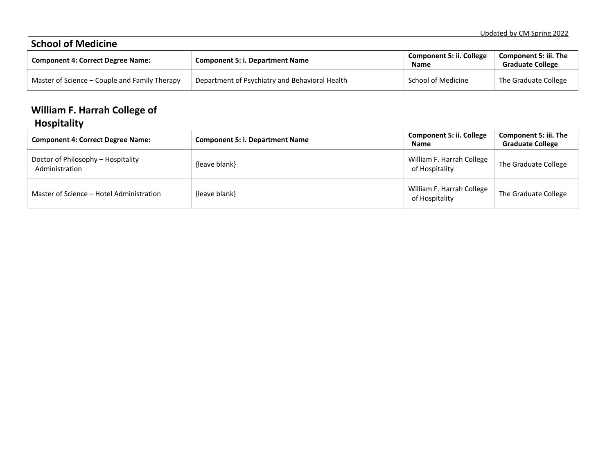| <b>School of Medicine</b>                     |                                                |                                         |                                                  |  |
|-----------------------------------------------|------------------------------------------------|-----------------------------------------|--------------------------------------------------|--|
| <b>Component 4: Correct Degree Name:</b>      | <b>Component 5: i. Department Name</b>         | <b>Component 5: ii. College</b><br>Name | Component 5: iii. The<br><b>Graduate College</b> |  |
| Master of Science – Couple and Family Therapy | Department of Psychiatry and Behavioral Health | School of Medicine                      | The Graduate College                             |  |

## **William F. Harrah College of Hospitality**

| <b>Component 4: Correct Degree Name:</b>             | <b>Component 5: i. Department Name</b> | <b>Component 5: ii. College</b><br><b>Name</b> | Component 5: iii. The<br><b>Graduate College</b> |
|------------------------------------------------------|----------------------------------------|------------------------------------------------|--------------------------------------------------|
| Doctor of Philosophy - Hospitality<br>Administration | {leave blank}                          | William F. Harrah College<br>of Hospitality    | The Graduate College                             |
| Master of Science - Hotel Administration             | {leave blank}                          | William F. Harrah College<br>of Hospitality    | The Graduate College                             |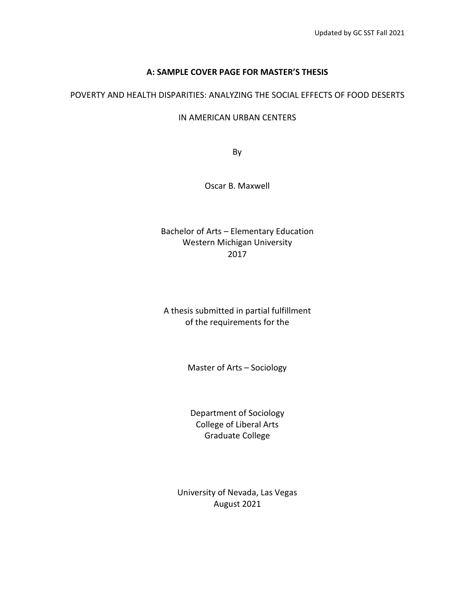## **A: SAMPLE COVER PAGE FOR MASTER'S THESIS**

## POVERTY AND HEALTH DISPARITIES: ANALYZING THE SOCIAL EFFECTS OF FOOD DESERTS

#### IN AMERICAN URBAN CENTERS

By

Oscar B. Maxwell

Bachelor of Arts – Elementary Education Western Michigan University 2017

A thesis submitted in partial fulfillment of the requirements for the

Master of Arts – Sociology

Department of Sociology College of Liberal Arts Graduate College

University of Nevada, Las Vegas August 2021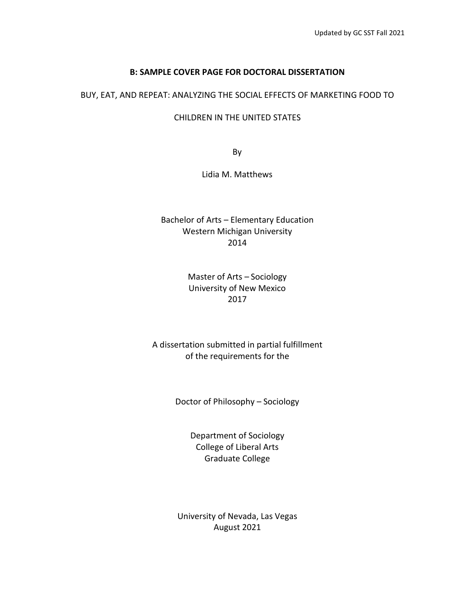#### **B: SAMPLE COVER PAGE FOR DOCTORAL DISSERTATION**

#### BUY, EAT, AND REPEAT: ANALYZING THE SOCIAL EFFECTS OF MARKETING FOOD TO

#### CHILDREN IN THE UNITED STATES

By

#### Lidia M. Matthews

## Bachelor of Arts – Elementary Education Western Michigan University 2014

## Master of Arts – Sociology University of New Mexico 2017

## A dissertation submitted in partial fulfillment of the requirements for the

Doctor of Philosophy – Sociology

Department of Sociology College of Liberal Arts Graduate College

University of Nevada, Las Vegas August 2021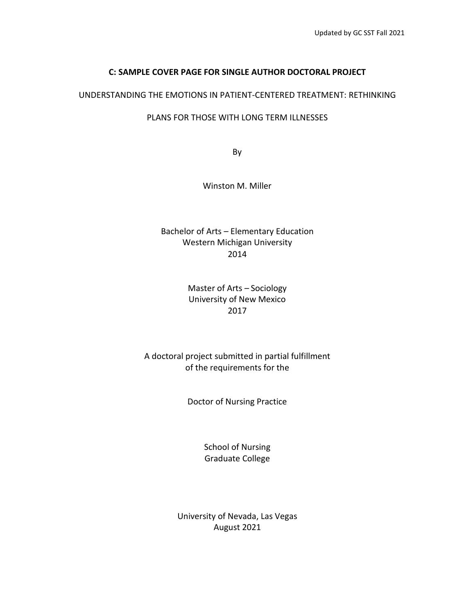## **C: SAMPLE COVER PAGE FOR SINGLE AUTHOR DOCTORAL PROJECT**

## UNDERSTANDING THE EMOTIONS IN PATIENT-CENTERED TREATMENT: RETHINKING

## PLANS FOR THOSE WITH LONG TERM ILLNESSES

By

Winston M. Miller

Bachelor of Arts – Elementary Education Western Michigan University 2014

> Master of Arts – Sociology University of New Mexico 2017

A doctoral project submitted in partial fulfillment of the requirements for the

Doctor of Nursing Practice

School of Nursing Graduate College

University of Nevada, Las Vegas August 2021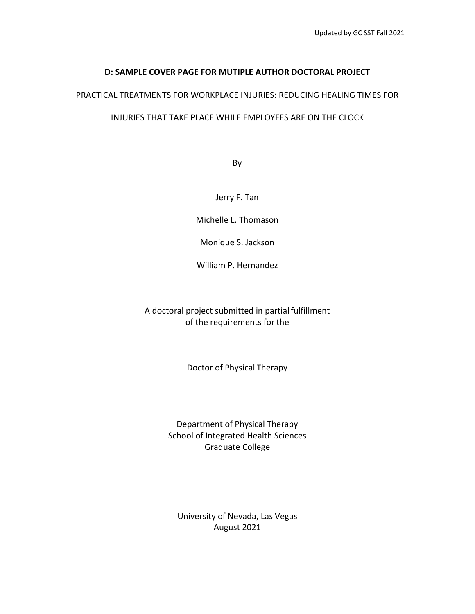## **D: SAMPLE COVER PAGE FOR MUTIPLE AUTHOR DOCTORAL PROJECT**

## PRACTICAL TREATMENTS FOR WORKPLACE INJURIES: REDUCING HEALING TIMES FOR

#### INJURIES THAT TAKE PLACE WHILE EMPLOYEES ARE ON THE CLOCK

By

Jerry F. Tan

Michelle L. Thomason

Monique S. Jackson

William P. Hernandez

A doctoral project submitted in partial fulfillment of the requirements for the

Doctor of Physical Therapy

Department of Physical Therapy School of Integrated Health Sciences Graduate College

University of Nevada, Las Vegas August 2021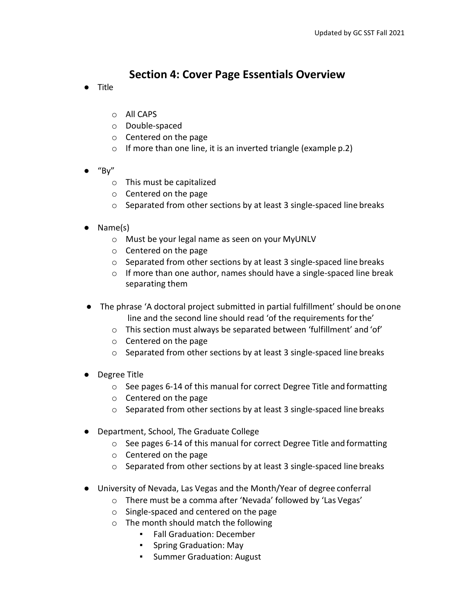## **Section 4: Cover Page Essentials Overview**

- Title
	- o All CAPS
	- o Double-spaced
	- o Centered on the page
	- $\circ$  If more than one line, it is an inverted triangle (example p.2)
- $\bullet$  "By"
	- o This must be capitalized
	- o Centered on the page
	- $\circ$  Separated from other sections by at least 3 single-spaced line breaks
- Name(s)
	- o Must be your legal name as seen on your MyUNLV
	- o Centered on the page
	- o Separated from other sections by at least 3 single-spaced line breaks
	- o If more than one author, names should have a single-spaced line break separating them
- The phrase 'A doctoral project submitted in partial fulfillment' should be onone line and the second line should read 'of the requirements forthe'
	- $\circ$  This section must always be separated between 'fulfillment' and 'of'
	- o Centered on the page
	- o Separated from other sections by at least 3 single-spaced line breaks
- Degree Title
	- o See pages 6-14 of this manual for correct Degree Title and formatting
	- o Centered on the page
	- o Separated from other sections by at least 3 single-spaced line breaks
- Department, School, The Graduate College
	- o See pages 6-14 of this manual for correct Degree Title and formatting
	- o Centered on the page
	- o Separated from other sections by at least 3 single-spaced line breaks
- University of Nevada, Las Vegas and the Month/Year of degree conferral
	- o There must be a comma after 'Nevada' followed by 'Las Vegas'
	- o Single-spaced and centered on the page
	- o The month should match the following
		- Fall Graduation: December
		- Spring Graduation: May
		- Summer Graduation: August